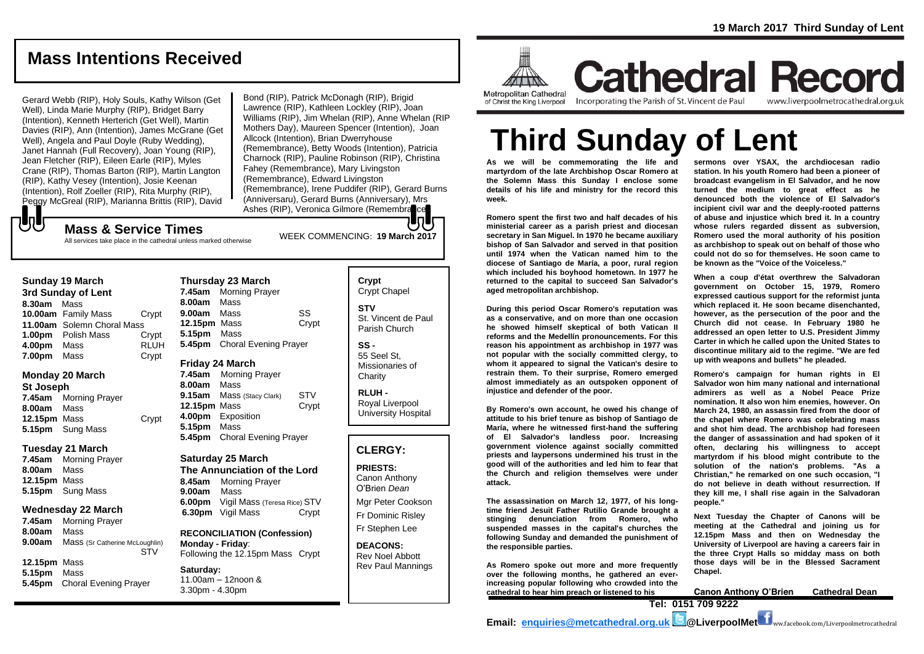## **Mass Intentions Received**

Gerard Webb (RIP), Holy Souls, Kathy Wilson (Get Well), Linda Marie Murphy (RIP), Bridget Barry (Intention), Kenneth Herterich (Get Well), Martin Davies (RIP), Ann (Intention), James McGrane (Get Well), Angela and Paul Doyle (Ruby Wedding), Janet Hannah (Full Recovery), Joan Young (RIP), Jean Fletcher (RIP), Eileen Earle (RIP), Myles Crane (RIP), Thomas Barton (RIP), Martin Langton (RIP), Kathy Vesey (Intention), Josie Keenan (Intention), Rolf Zoeller (RIP), Rita Murphy (RIP), Peggy McGreal (RIP), Marianna Brittis (RIP), David

Bond (RIP), Patrick McDonagh (RIP), Brigid Lawrence (RIP), Kathleen Lockley (RIP), Joan Williams (RIP), Jim Whelan (RIP), Anne Whelan (RIP Mothers Day), Maureen Spencer (Intention), Joan Allcock (Intention), Brian Dwerryhouse (Remembrance), Betty Woods (Intention), Patricia Charnock (RIP), Pauline Robinson (RIP), Christina Fahey (Remembrance), Mary Livingston (Remembrance), Edward Livingston (Remembrance), Irene Puddifer (RIP), Gerard Burns (Anniversaru), Gerard Burns (Anniversary), Mrs Ashes (RIP), Veronica Gilmore (Remembrance

## もし

WEEK COMMENCING: **19 March <sup>2017</sup> Mass & Service Times** All services take place in the cathedral unless marked otherwise

**3rd Sunday of Lent 8.30am** Mass **10.00am** Family Mass Crypt **11.00am** Solemn Choral Mass **1.00pm** Polish Mass Crypt<br>**4.00pm** Mass RLUH **4.00pm** Mass **7.00pm** Mass Crypt

#### **Monday 20 March**

**St Joseph 7.45am** Morning Prayer **8.00am** Mass **12.15pm** Mass Crypt **5.15pm** Sung Mass

#### **Tuesday 21 March**

**7.45am** Morning Prayer **8.00am** Mass **12.15pm** Mass **5.15pm** Sung Mass

#### **Wednesday 22 March**

**7.45am** Morning Prayer **8.00am** Mass **9.00am** Mass (Sr Catherine McLoughlin) STV **12.15pm** Mass

**5.15pm** Mass **5.45pm** Choral Evening Prayer

| Thursday 23 March<br><b>Morning Prayer</b><br>7.45am<br>8.00am Mass |                                              |             |
|---------------------------------------------------------------------|----------------------------------------------|-------------|
| 9.00am<br>12.15pm Mass<br>5.15pm                                    | Mass<br>Mass<br>5.45pm Choral Evening Prayer | SS<br>Crypt |

#### **Friday 24 March**

**7.45am** Morning Prayer **8.00am** Mass **9.15am** Mass (Stacy Clark) STV **12.15pm** Mass Crypt **4.00pm** Exposition **5.15pm** Mass **5.45pm** Choral Evening Prayer

#### **Saturday 25 March**

**The Annunciation of the Lord 8.45am** Morning Prayer **9.00am** Mass **6.00pm** Vigil Mass (Teresa Rice) STV **6.30pm** Vigil Mass Crypt

**RECONCILIATION (Confession) Monday - Friday**: Following the 12.15pm Mass Crypt

**Saturday:** 11.00am – 12noon & 3.30pm - 4.30pm

#### **Crypt**  Crypt Chapel **STV** St. Vincent de Paul Parish Church **SS -** 55 Seel St,

Missionaries of **Charity RLUH -**

Royal Liverpool University Hospital

#### **CLERGY:**

**PRIESTS:** Canon Anthony O'Brien *Dean*

Mgr Peter Cookson Fr Dominic Risley Fr Stephen Lee

**DEACONS:** Rev Noel Abbott Rev Paul Mannings



**Cathedral Record** Incorporating the Parish of St. Vincent de Paul

www.liverpoolmetrocathedral.org.uk

# **Third Sunday of Lent**

**As we will be commemorating the life and martyrdom of the late Archbishop Oscar Romero at the Solemn Mass this Sunday I enclose some details of his life and ministry for the record this week.**

**Romero spent the first two and half decades of his ministerial career as a parish priest and diocesan secretary in San Miguel. In 1970 he became auxiliary bishop of San Salvador and served in that position until 1974 when the Vatican named him to the diocese of Santiago de María, a poor, rural region which included his boyhood hometown. In 1977 he returned to the capital to succeed San Salvador's aged metropolitan archbishop.**

**During this period Oscar Romero's reputation was as a conservative, and on more than one occasion he showed himself skeptical of both Vatican II reforms and the Medellín pronouncements. For this reason his appointment as archbishop in 1977 was not popular with the socially committed clergy, to whom it appeared to signal the Vatican's desire to restrain them. To their surprise, Romero emerged almost immediately as an outspoken opponent of injustice and defender of the poor.**

**By Romero's own account, he owed his change of attitude to his brief tenure as bishop of Santiago de María, where he witnessed first-hand the suffering of El Salvador's landless poor. Increasing government violence against socially committed priests and laypersons undermined his trust in the good will of the authorities and led him to fear that the Church and religion themselves were under attack.** 

**The assassination on March 12, 1977, of his longtime friend Jesuit Father Rutilio Grande brought a stinging denunciation from Romero, who suspended masses in the capital's churches the following Sunday and demanded the punishment of the responsible parties.**

**As Romero spoke out more and more frequently over the following months, he gathered an everincreasing popular following who crowded into the cathedral to hear him preach or listened to his**

**sermons over YSAX, the archdiocesan radio station. In his youth Romero had been a pioneer of broadcast evangelism in El Salvador, and he now turned the medium to great effect as he denounced both the violence of El Salvador's incipient civil war and the deeply-rooted patterns of abuse and injustice which bred it. In a country whose rulers regarded dissent as subversion, Romero used the moral authority of his position as archbishop to speak out on behalf of those who could not do so for themselves. He soon came to be known as the "Voice of the Voiceless."**

**When a coup d'état overthrew the Salvadoran government on October 15, 1979, Romero expressed cautious support for the reformist junta which replaced it. He soon became disenchanted, however, as the persecution of the poor and the Church did not cease. In February 1980 he addressed an open letter to U.S. President Jimmy Carter in which he called upon the United States to discontinue military aid to the regime. "We are fed up with weapons and bullets" he pleaded.**

**Romero's campaign for human rights in El Salvador won him many national and international admirers as well as a Nobel Peace Prize nomination. It also won him enemies, however. On March 24, 1980, an assassin fired from the door of the chapel where Romero was celebrating mass and shot him dead. The archbishop had foreseen the danger of assassination and had spoken of it often, declaring his willingness to accept martyrdom if his blood might contribute to the solution of the nation's problems. "As a Christian," he remarked on one such occasion, "I do not believe in death without resurrection. If they kill me, I shall rise again in the Salvadoran people."**

**Next Tuesday the Chapter of Canons will be meeting at the Cathedral and joining us for 12.15pm Mass and then on Wednesday the University of Liverpool are having a careers fair in the three Crypt Halls so midday mass on both those days will be in the Blessed Sacrament Chapel.**

**Canon Anthony O'Brien Cathedral Dean**

**Tel: 0151 709 9222 Email: [enquiries@metcathedral.org.uk](mailto:enquiries@metcathedral.org.uk) @\_@LiverpoolMet**  $\blacksquare$ ww.facebook.com/Liverpoolmetrocathedral